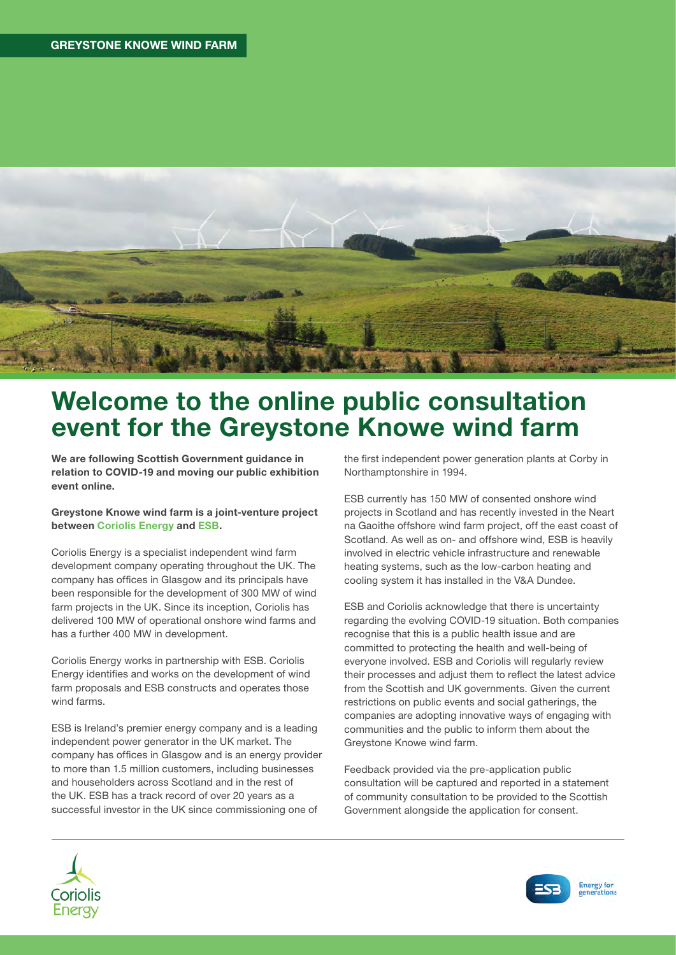

## Welcome to the online public consultation event for the Greystone Knowe wind farm

We are following Scottish Government guidance in relation to COVID-19 and moving our public exhibition event online.

#### Greystone Knowe wind farm is a joint-venture project between Coriolis Energy and ESB.

Coriolis Energy is a specialist independent wind farm development company operating throughout the UK. The company has offices in Glasgow and its principals have been responsible for the development of 300 MW of wind farm projects in the UK. Since its inception, Coriolis has delivered 100 MW of operational onshore wind farms and has a further 400 MW in development.

Coriolis Energy works in partnership with ESB. Coriolis Energy identifies and works on the development of wind farm proposals and ESB constructs and operates those wind farms.

ESB is Ireland's premier energy company and is a leading independent power generator in the UK market. The company has offices in Glasgow and is an energy provider to more than 1.5 million customers, including businesses and householders across Scotland and in the rest of the UK. ESB has a track record of over 20 years as a successful investor in the UK since commissioning one of

the first independent power generation plants at Corby in Northamptonshire in 1994.

ESB currently has 150 MW of consented onshore wind projects in Scotland and has recently invested in the Neart na Gaoithe offshore wind farm project, off the east coast of Scotland. As well as on- and offshore wind, ESB is heavily involved in electric vehicle infrastructure and renewable heating systems, such as the low-carbon heating and cooling system it has installed in the V&A Dundee.

ESB and Coriolis acknowledge that there is uncertainty regarding the evolving COVID-19 situation. Both companies recognise that this is a public health issue and are committed to protecting the health and well-being of everyone involved. ESB and Coriolis will regularly review their processes and adjust them to reflect the latest advice from the Scottish and UK governments. Given the current restrictions on public events and social gatherings, the companies are adopting innovative ways of engaging with communities and the public to inform them about the Greystone Knowe wind farm.

Feedback provided via the pre-application public consultation will be captured and reported in a statement of community consultation to be provided to the Scottish Government alongside the application for consent.





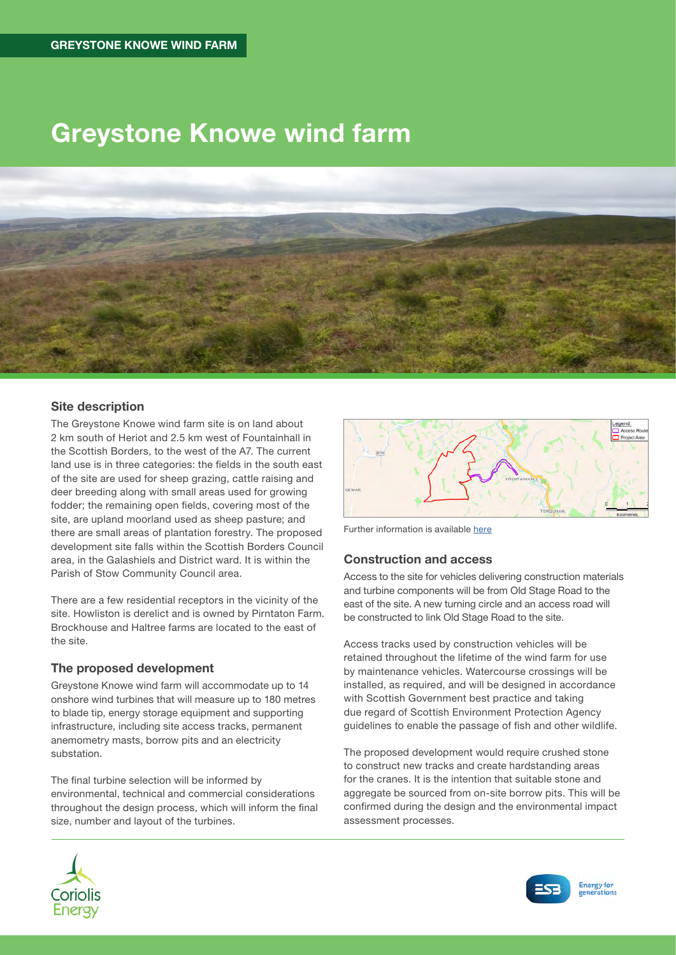## Greystone Knowe wind farm



### Site description

The Greystone Knowe wind farm site is on land about 2 km south of Heriot and 2.5 km west of Fountainhall in the Scottish Borders, to the west of the A7. The current land use is in three categories: the fields in the south east of the site are used for sheep grazing, cattle raising and deer breeding along with small areas used for growing fodder; the remaining open fields, covering most of the site, are upland moorland used as sheep pasture; and there are small areas of plantation forestry. The proposed development site falls within the Scottish Borders Council area, in the Galashiels and District ward. It is within the Parish of Stow Community Council area.

There are a few residential receptors in the vicinity of the site. Howliston is derelict and is owned by Pirntaton Farm. Brockhouse and Haltree farms are located to the east of the site.

#### The proposed development

Greystone Knowe wind farm will accommodate up to 14 onshore wind turbines that will measure up to 180 metres to blade tip, energy storage equipment and supporting infrastructure, including site access tracks, permanent anemometry masts, borrow pits and an electricity substation.

The final turbine selection will be informed by environmental, technical and commercial considerations throughout the design process, which will inform the final size, number and layout of the turbines.



Further information is available [here](https://coriolisv3.opendebate.co.uk/files/greystoneknowe/200521_Greystone_Knowe_Scoping_Report_Final_Rev01_reduced_compressed_1.pdf)

#### Construction and access

Access to the site for vehicles delivering construction materials and turbine components will be from Old Stage Road to the east of the site. A new turning circle and an access road will be constructed to link Old Stage Road to the site.

Access tracks used by construction vehicles will be retained throughout the lifetime of the wind farm for use by maintenance vehicles. Watercourse crossings will be installed, as required, and will be designed in accordance with Scottish Government best practice and taking due regard of Scottish Environment Protection Agency guidelines to enable the passage of fish and other wildlife.

The proposed development would require crushed stone to construct new tracks and create hardstanding areas for the cranes. It is the intention that suitable stone and aggregate be sourced from on-site borrow pits. This will be confirmed during the design and the environmental impact assessment processes.



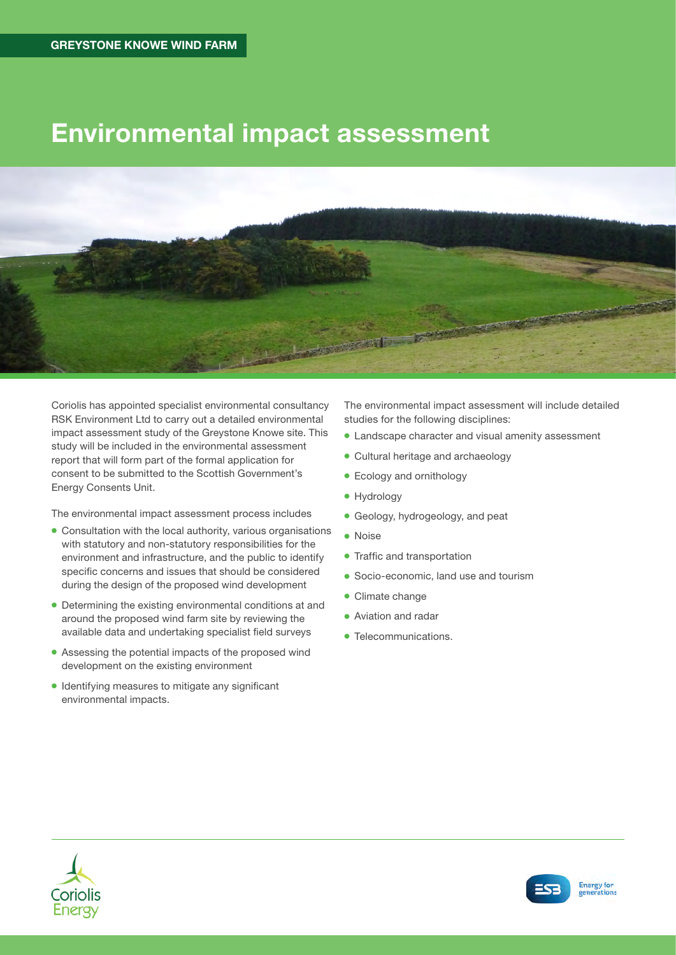## Environmental impact assessment



Coriolis has appointed specialist environmental consultancy RSK Environment Ltd to carry out a detailed environmental impact assessment study of the Greystone Knowe site. This study will be included in the environmental assessment report that will form part of the formal application for consent to be submitted to the Scottish Government's Energy Consents Unit.

The environmental impact assessment process includes

- Consultation with the local authority, various organisations with statutory and non-statutory responsibilities for the environment and infrastructure, and the public to identify specific concerns and issues that should be considered during the design of the proposed wind development
- Determining the existing environmental conditions at and around the proposed wind farm site by reviewing the available data and undertaking specialist field surveys
- Assessing the potential impacts of the proposed wind development on the existing environment
- Identifying measures to mitigate any significant environmental impacts.

The environmental impact assessment will include detailed studies for the following disciplines:

- Landscape character and visual amenity assessment
- Cultural heritage and archaeology
- Ecology and ornithology
- Hydrology
- Geology, hydrogeology, and peat
- Noise
- Traffic and transportation
- Socio-economic, land use and tourism
- Climate change
- Aviation and radar
- Telecommunications.



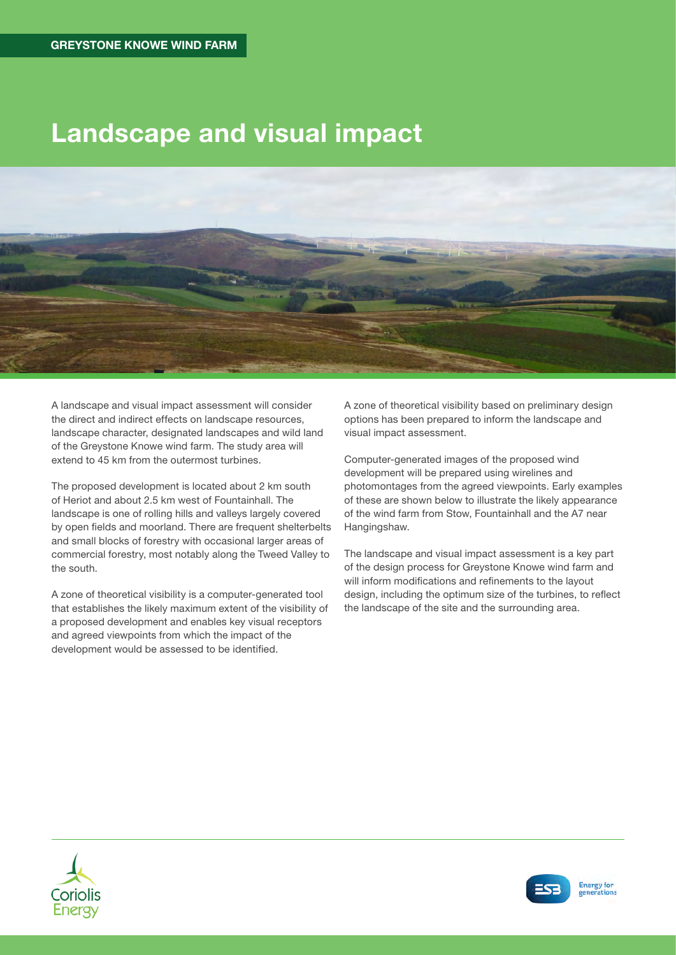## Landscape and visual impact



A landscape and visual impact assessment will consider the direct and indirect effects on landscape resources, landscape character, designated landscapes and wild land of the Greystone Knowe wind farm. The study area will extend to 45 km from the outermost turbines.

The proposed development is located about 2 km south of Heriot and about 2.5 km west of Fountainhall. The landscape is one of rolling hills and valleys largely covered by open fields and moorland. There are frequent shelterbelts and small blocks of forestry with occasional larger areas of commercial forestry, most notably along the Tweed Valley to the south.

A zone of theoretical visibility is a computer-generated tool that establishes the likely maximum extent of the visibility of a proposed development and enables key visual receptors and agreed viewpoints from which the impact of the development would be assessed to be identified.

A zone of theoretical visibility based on preliminary design options has been prepared to inform the landscape and visual impact assessment.

Computer-generated images of the proposed wind development will be prepared using wirelines and photomontages from the agreed viewpoints. Early examples of these are shown below to illustrate the likely appearance of the wind farm from Stow, Fountainhall and the A7 near Hangingshaw.

The landscape and visual impact assessment is a key part of the design process for Greystone Knowe wind farm and will inform modifications and refinements to the layout design, including the optimum size of the turbines, to reflect the landscape of the site and the surrounding area.



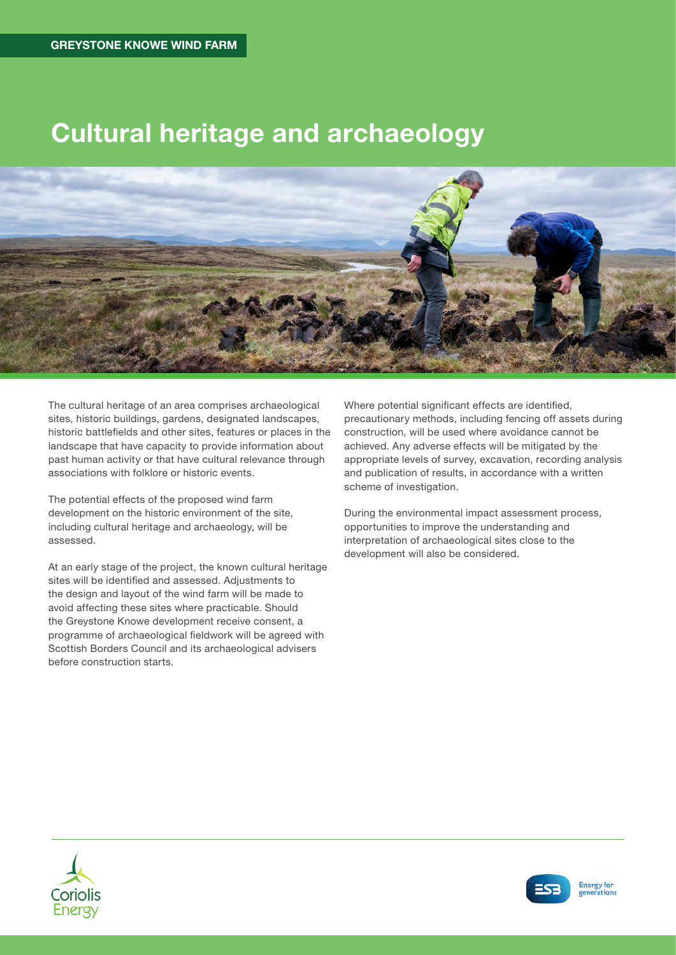# Cultural heritage and archaeology



The cultural heritage of an area comprises archaeological sites, historic buildings, gardens, designated landscapes, historic battlefields and other sites, features or places in the landscape that have capacity to provide information about past human activity or that have cultural relevance through associations with folklore or historic events.

The potential effects of the proposed wind farm development on the historic environment of the site, including cultural heritage and archaeology, will be assessed.

At an early stage of the project, the known cultural heritage sites will be identified and assessed. Adjustments to the design and layout of the wind farm will be made to avoid affecting these sites where practicable. Should the Greystone Knowe development receive consent, a programme of archaeological fieldwork will be agreed with Scottish Borders Council and its archaeological advisers before construction starts.

Where potential significant effects are identified, precautionary methods, including fencing off assets during construction, will be used where avoidance cannot be achieved. Any adverse effects will be mitigated by the appropriate levels of survey, excavation, recording analysis and publication of results, in accordance with a written scheme of investigation.

During the environmental impact assessment process, opportunities to improve the understanding and interpretation of archaeological sites close to the development will also be considered.



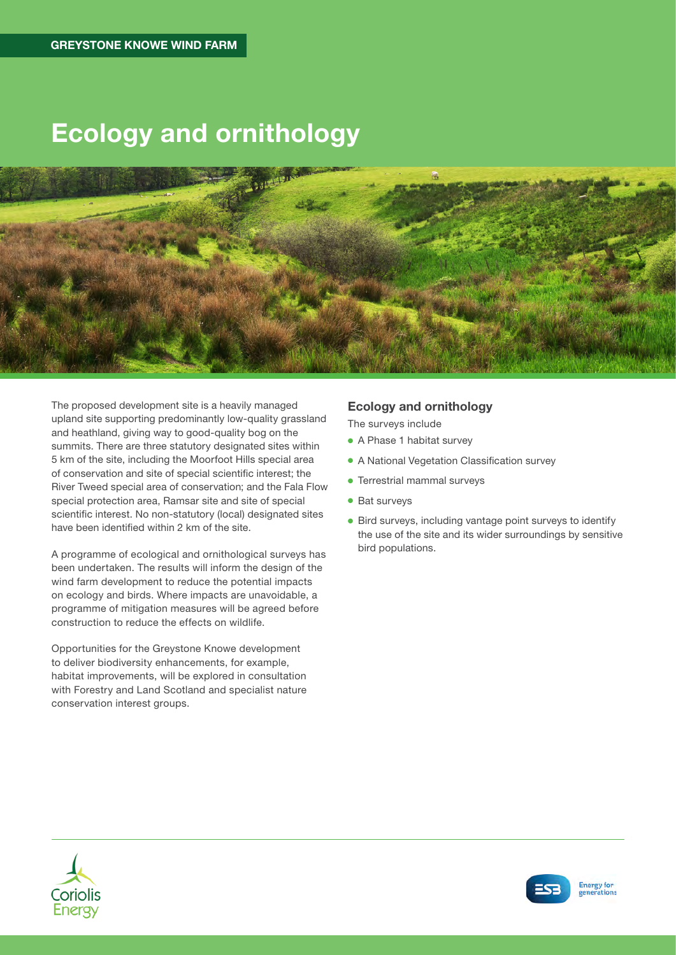# Ecology and ornithology



The proposed development site is a heavily managed upland site supporting predominantly low-quality grassland and heathland, giving way to good-quality bog on the summits. There are three statutory designated sites within 5 km of the site, including the Moorfoot Hills special area of conservation and site of special scientific interest; the River Tweed special area of conservation; and the Fala Flow special protection area, Ramsar site and site of special scientific interest. No non-statutory (local) designated sites have been identified within 2 km of the site.

A programme of ecological and ornithological surveys has been undertaken. The results will inform the design of the wind farm development to reduce the potential impacts on ecology and birds. Where impacts are unavoidable, a programme of mitigation measures will be agreed before construction to reduce the effects on wildlife.

Opportunities for the Greystone Knowe development to deliver biodiversity enhancements, for example, habitat improvements, will be explored in consultation with Forestry and Land Scotland and specialist nature conservation interest groups.

### Ecology and ornithology

The surveys include

- A Phase 1 habitat survey
- A National Vegetation Classification survey
- Terrestrial mammal surveys
- Bat surveys
- Bird surveys, including vantage point surveys to identify the use of the site and its wider surroundings by sensitive bird populations.



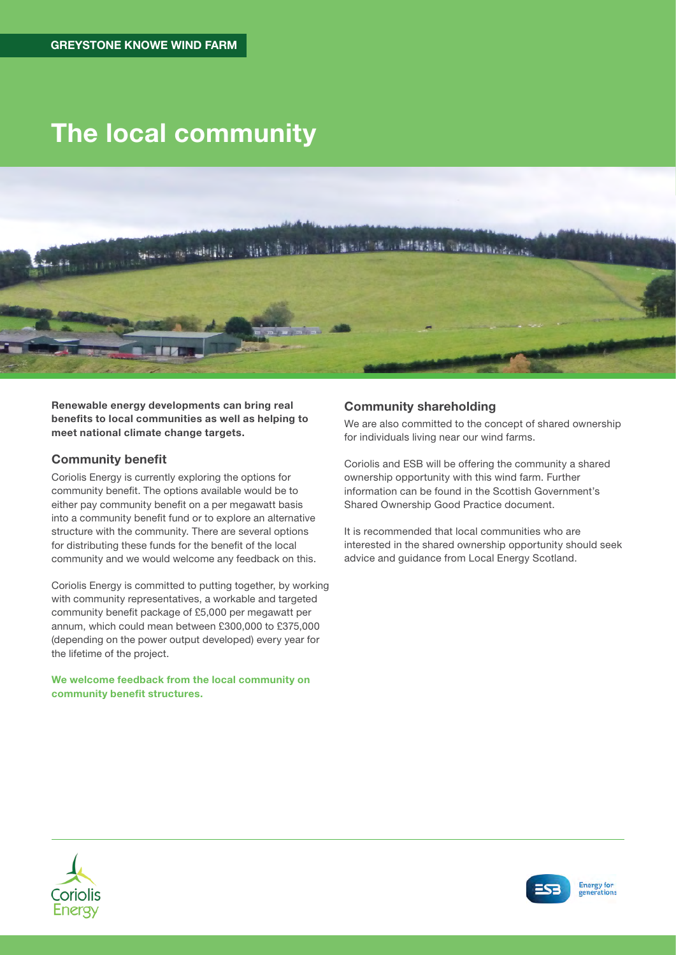# The local community



Renewable energy developments can bring real benefits to local communities as well as helping to meet national climate change targets.

### Community benefit

Coriolis Energy is currently exploring the options for community benefit. The options available would be to either pay community benefit on a per megawatt basis into a community benefit fund or to explore an alternative structure with the community. There are several options for distributing these funds for the benefit of the local community and we would welcome any feedback on this.

Coriolis Energy is committed to putting together, by working with community representatives, a workable and targeted community benefit package of £5,000 per megawatt per annum, which could mean between £300,000 to £375,000 (depending on the power output developed) every year for the lifetime of the project.

We welcome feedback from the local community on community benefit structures.

### Community shareholding

We are also committed to the concept of shared ownership for individuals living near our wind farms.

Coriolis and ESB will be offering the community a shared ownership opportunity with this wind farm. Further information can be found in the Scottish Government's Shared Ownership Good Practice document.

It is recommended that local communities who are interested in the shared ownership opportunity should seek advice and guidance from Local Energy Scotland.